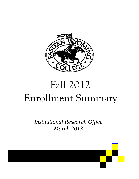

# Fall 2012 Enrollment Summary

*Institutional Research Office March 2013* 

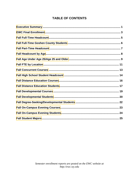## **TABLE OF CONTENTS**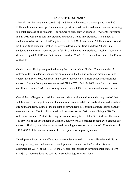#### **EXECUTIVE SUMMARY**

<span id="page-2-0"></span>The Fall 2012 headcount decreased 1.6% and the FTE increased 0.7% compared to Fall 2011. Full-time headcount was up 10 students and part-time headcount was down 41 students resulting in a total decrease of 31 students. The number of students who attended EWC for the first time in Fall 2012 was up 25 full-time students and down 58 part-time students. The number of students who had attended EWC anytime prior to Fall 2012 was down 15 full-time students and up 17 part-time students. Goshen County was down 26 full-time and down 50 part-time students, and Outreach increased by 36 full-time and 9 part-time students. Goshen County FTE decreased by 43.00 FTE, and Outreach increased by 52.67 FTE. Outreach accounted for 45.4% of the FTE.

Credit course offerings are provided as regular courses in both Goshen County and the 12 outreach sites. In addition, concurrent enrollment in the high schools, and distance learning courses are also offered. Outreach had 59.6% of its 606.42 FTE from concurrent enrollment courses. Goshen County courses generated 728.83 FTE of which 5.6% were from concurrent enrollment courses, 3.6% from evening courses, and 20.0% from distance education courses.

One of the challenges in scheduling courses is determining the time and delivery method that will best serve the largest number of students and accommodate the needs of non-traditional and site bound students. Some of the on-campus day students do enroll in distance learning and/or evening courses. The 111 distance education courses served 201 students living in EWC's outreach areas and 186 students living in Goshen County for a total of 387 students. However, 149 (80.1%) of the 186 students in Goshen County were also enrolled in regular on-campus day courses. Similarly, the 14 on-campus credit evening courses served a total of 155 students with 140 (90.3%) of the students also enrolled in regular on-campus day courses.

Developmental courses are offered for those students who do not have college level skills in reading, writing, and mathematics. Developmental courses enrolled 277 students which accounted for 7.64% of the FTE. Of the 277 students enrolled in developmental courses, 195 (70.4%) of those students are seeking an associate degree or certificate.

1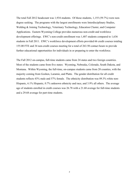The total Fall 2012 headcount was 1,934 students. Of those students, 1,155 (59.7%) were nondegree seeking. The programs with the largest enrollments were Interdisciplinary Studies, Welding & Joining Technology, Veterinary Technology, Education Cluster, and Computer Applications. Eastern Wyoming College provides numerous non-credit and workforce development offerings. EWC's non-credit enrollment was 1,487 students compared to 1,636 students in Fall 2011. EWC's workforce development efforts provided 66 credit courses totaling 155.00 FTE and 34 non-credit courses meeting for a total of 263.50 contact hours to provide further educational opportunities for individuals in or preparing to enter the workforce.

The Fall 2012 on-campus, full-time students came from 24 states and two foreign countries. Most of the students came from five states: Wyoming, Nebraska, Colorado, South Dakota, and Montana. Within Wyoming, the full-time, on-campus students came from 20 counties, with the majority coming from Goshen, Laramie, and Platte. The gender distribution for all credit students reflects 43% male and 57% female. The ethnicity distribution was 89.3% white non-Hispanic, 6.1% Hispanic, 0.7% unknown ethnicity and race, and 3.9% all others. The average age of students enrolled in credit courses was 26.78 with a 21.68 average for full-time students and a 29.68 average for part-time students.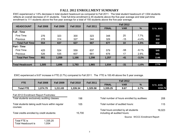## **FALL 2012 ENROLLMENT SUMMARY**

<span id="page-4-0"></span>EWC experienced a 1.6% decrease in total student headcount as compared to Fall 2011. The total student headcount of 1,934 students reflects an overall decrease of 31 students. Total full-time enrollment is 45 students above the five-year average and total part-time enrollment is 111 students above the five-year average for a total of 155 students above the five-year average.

| <b>HEADCOUNT</b>        | <b>Fall 2008</b> | <b>Fall 2009</b> | <b>Fall 2010</b> | <b>Fall 2011</b> |              | <b>Fall 2012</b> |         |           |
|-------------------------|------------------|------------------|------------------|------------------|--------------|------------------|---------|-----------|
|                         |                  |                  |                  |                  | <b>FINAL</b> | <b>VAR</b>       | %       | 5 Yr. AVG |
| <b>Full - Time</b>      |                  |                  |                  |                  |              |                  |         |           |
| <b>First Time</b>       | 276              | 323              | 300              | 323              | 348          | 25               | 7.7%    | 314       |
| Previous                | 278              | 314              | 327              | 344              | 329          | $-15$            | $-4.4%$ | 318       |
| <b>Total Full Timel</b> | 554              | 637              | 627              | 667              | 677          | 10               | 1.5%    | 632       |
| <b>Part - Time</b>      |                  |                  |                  |                  |              |                  |         |           |
| <b>First Time</b>       | 425              | 524              | 559              | 637              | 579          | $-58$            | $-9.1%$ | 545       |
| Previous                | 526              | 535              | 607              | 661              | 678          | 17               | 2.6%    | 601       |
| <b>Total Part Time</b>  | 951              | 1,059            | 1,166            | 1,298            | 1,257        | $-41$            | $-3.2%$ | 1146      |
|                         |                  |                  |                  |                  |              |                  |         |           |
| <b>Total Headcount</b>  | 1,505            | 1,696            | 1,793            | 1,965            | 1,934        | $-31$            | $-1.6%$ | 1779      |

EWC experienced a 9.67 increase in FTE (0.7%) compared to Fall 2011. The FTE is 100.49 above the 5 year average.

Total FTE is 1,335.25 Total Headcount is 1,934

|                                                              |                                            |                  |                  |                                             | <b>Fall 2012</b>                                                     |                                |                                |           |  |  |
|--------------------------------------------------------------|--------------------------------------------|------------------|------------------|---------------------------------------------|----------------------------------------------------------------------|--------------------------------|--------------------------------|-----------|--|--|
| FTE                                                          | <b>Fall 2008</b>                           | <b>Fall 2009</b> | <b>Fall 2010</b> | <b>Fall 2011</b>                            | <b>FINAL</b>                                                         | <b>VAR</b>                     | $\%$                           | 5 Yr. AVG |  |  |
| <b>Total FTE</b>                                             | 1,074.79                                   | 1,211.83         | 1,226.34         | 1,325.58                                    | 1,335.25                                                             | 9.67                           | 0.7%                           | 1234.76   |  |  |
| Fall 2012 Enrollment Report Footnotes:                       |                                            |                  |                  |                                             |                                                                      |                                |                                |           |  |  |
| Total students exclusively auditing classes:                 |                                            | 198              |                  | Total number of hours enrolled by auditees: | 208                                                                  |                                |                                |           |  |  |
| Total students taking audit hours within regular<br>courses: |                                            |                  | 105              |                                             |                                                                      | Total number of audited hours: |                                |           |  |  |
|                                                              | Total credits enrolled by credit students: |                  | 15,700           |                                             | Total hours enrolled by all students<br>including all audited hours: | 16,023                         |                                |           |  |  |
|                                                              |                                            |                  |                  |                                             |                                                                      |                                | Source: WCCC Enrollment Report |           |  |  |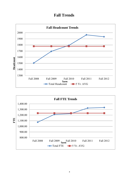## **Fall Trends**



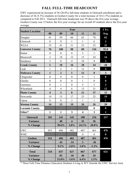## **FALL FULL-TIME HEADCOUNT**

<span id="page-6-0"></span>EWC experienced an increase of 36 (20.0%) full-time students in Outreach enrollment and a decrease of 26 (5.3%) students in Goshen County for a total increase of 10 (1.5%) students as compared to Fall 2011. Outreach full-time headcount was 59 above the five-year average. Goshen County was 15 below the five-year average for an overall 45 students above the five-year average.

| <b>Student Location</b> |                         | Year             |                         |                         |                  |                         |  |  |  |  |
|-------------------------|-------------------------|------------------|-------------------------|-------------------------|------------------|-------------------------|--|--|--|--|
|                         | 08                      | 09               | 10                      | 11                      | 12               | Avg.                    |  |  |  |  |
| Douglas                 | 41                      | 59               | 66                      | 65                      | 78               | 62                      |  |  |  |  |
| Glenrock                | $\boldsymbol{0}$        | $\overline{0}$   | 1                       | $\mathbf{1}$            | 6                | $\overline{2}$          |  |  |  |  |
| <b>WLEA</b>             | 35                      | 41               | 31                      | 23                      | 32               | 32                      |  |  |  |  |
| <b>Converse County</b>  | 76                      | 100              | 98                      | 89                      | 116              | 95.8                    |  |  |  |  |
| Hulett                  | $\boldsymbol{0}$        | $\mathbf{0}$     | $\overline{0}$          | $\overline{3}$          | $\mathbf{1}$     | $\mathbf{1}$            |  |  |  |  |
| Moorcroft               | $\overline{2}$          | 18               | 12                      | 15                      | 24               | 14                      |  |  |  |  |
| Sundance                | $\overline{3}$          | $\overline{0}$   | $\overline{4}$          | 10                      | 9                | 5                       |  |  |  |  |
| <b>Crook County</b>     | 5                       | 18               | 16                      | 28                      | 34               | 20                      |  |  |  |  |
| Lusk                    | 1                       | $\overline{2}$   | 1                       | 12                      | $\theta$         | $\overline{\mathbf{3}}$ |  |  |  |  |
| <b>Niobrara County</b>  | $\mathbf{1}$            | $\overline{2}$   | $\mathbf{1}$            | 12                      | $\boldsymbol{0}$ | $\overline{\mathbf{3}}$ |  |  |  |  |
| Chugwater               | $\boldsymbol{0}$        | $\boldsymbol{0}$ | $\boldsymbol{0}$        | $\boldsymbol{0}$        | $\mathbf{1}$     | $\boldsymbol{0}$        |  |  |  |  |
| Glendo                  | $\boldsymbol{0}$        | $\overline{0}$   | $\boldsymbol{0}$        | $\mathbf{1}$            | $\overline{0}$   | $\boldsymbol{0}$        |  |  |  |  |
| Guernsey                | $\boldsymbol{0}$        | $\mathbf{1}$     | $\boldsymbol{0}$        | 5                       | 5                | $\overline{2}$          |  |  |  |  |
| Wheatland               | $\overline{4}$          | $\overline{4}$   | 8                       | 15                      | 31               | 12                      |  |  |  |  |
| <b>Platte County</b>    | $\overline{\mathbf{4}}$ | 5                | 8                       | 21                      | 37               | 15                      |  |  |  |  |
| Newcastle               | 14                      | 15               | 17                      | 25                      | 25               | 19                      |  |  |  |  |
| Upton                   | $\boldsymbol{0}$        | $\boldsymbol{0}$ | $\overline{2}$          | 1                       | $\mathbf{1}$     | $\mathbf{1}$            |  |  |  |  |
| <b>Weston County</b>    | 14                      | 15               | 19                      | 26                      | 26               | 20                      |  |  |  |  |
| <b>Laramie County</b>   |                         |                  |                         |                         | $\boldsymbol{0}$ | $\boldsymbol{0}$        |  |  |  |  |
| Other*                  | $\mathbf{1}$            | $\mathbf{1}$     | 3                       | $\overline{\mathbf{4}}$ | $\mathbf{3}$     | $\overline{2}$          |  |  |  |  |
| <b>Outreach</b>         | 101                     | 141              | 145                     | 180                     | 216              | 157                     |  |  |  |  |
| <b>Variance</b>         |                         | 40               | $\overline{\mathbf{4}}$ | 35                      | 36               |                         |  |  |  |  |
| % Change                |                         | 39.6%            | 2.8%                    | 24.1%                   | 20.0%            |                         |  |  |  |  |
| <b>EWC</b>              | 453                     | 496              | 482                     | 487                     | 461              | 476                     |  |  |  |  |
| <b>WMC</b>              |                         |                  |                         | $\boldsymbol{0}$        | $\theta$         | $\boldsymbol{0}$        |  |  |  |  |
| Goshen                  | 453                     | 496              | 482                     | 487                     | 461              | 476                     |  |  |  |  |
| <b>Variance</b>         |                         | 43               | $-14$                   | 5 <sup>5</sup>          | $-26$            |                         |  |  |  |  |
| % Change                |                         | 9.5%             | $-2.8%$                 | 1.0%                    | $-5.3%$          |                         |  |  |  |  |
| <b>Total</b>            | 554                     | 637              | 627                     | 667                     | 677              | 632                     |  |  |  |  |
| <b>Variance</b>         |                         | 83               | $-10$                   | 40                      | 10               |                         |  |  |  |  |
| % Change                |                         | 15.0%            | $-1.6%$                 | 6.4%                    | 1.5%             |                         |  |  |  |  |

\* Three Full-Time Distance Education Students Living in WY Outside the EWC Service Area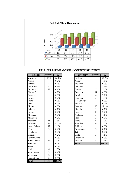<span id="page-7-0"></span>

#### **FALL FULL-TIME GOSHEN COUNTY STUDENTS**

| <b>STATE</b>  | <b>TOTAL</b>   | $\frac{0}{0}$ | <b>COUNTY</b> | <b>TOTAL</b>   | $\frac{0}{0}$ |
|---------------|----------------|---------------|---------------|----------------|---------------|
| Wyoming       | 272            | 59.0%         | Goshen        | 144            | 52.9%         |
| Alaska        | 1              | 0.2%          | Albany        | $\overline{4}$ | 1.5%          |
| Arizona       | $\overline{4}$ | 0.9%          | Big Horn      |                | $0.0\%$       |
| California    | $\overline{4}$ | $0.9\%$       | Campbell      | 8              | 2.9%          |
| Colorado      | 28             | 6.1%          | Carbon        | $\overline{7}$ | 2.6%          |
| Florida 3     |                | 0.7%          | Converse      | 11             | $4.0\%$       |
| Georgia       |                | $0.0\%$       | Crook         | 6              | 2.2%          |
| Hawaii        | $\mathbf{1}$   | 0.2%          | Freemont      | 5              | 1.8%          |
| Idaho         |                | $0.0\%$       | Hot Springs   | $\overline{c}$ | 0.7%          |
| Iowa          | $\mathbf{1}$   | 0.2%          | Johnson       | $\mathbf{1}$   | 0.4%          |
| Illinois      | $\overline{3}$ | 0.7%          | Laramie       | 33             | 12.1%         |
| Indiana       | $\mathbf{1}$   | 0.2%          | Lincoln       | $\overline{2}$ | 0.7%          |
| Kansas        | $\mathbf{1}$   | 0.2%          | Natrona       | 10             | 3.7%          |
| Michigan      |                | $0.0\%$       | Niobrara      | $\mathfrak{Z}$ | 1.1%          |
| Minnesota     | $\mathbf{1}$   | 0.2%          | Park          | $\overline{2}$ | 0.7%          |
| Montana       | 15             | 3.3%          | Platte        | 19             | $7.0\%$       |
| Nebraska      | 74             | 16.1%         | Sheridan      | $\overline{4}$ | 1.5%          |
| North Dakota  | 12             | 2.6%          | Sublette      |                | $0.0\%$       |
| Ohio          | $\overline{2}$ | $0.4\%$       | Sweetwater    | $\overline{2}$ | 0.7%          |
| Oklahoma      |                | $0.0\%$       | Teton         |                | $0.0\%$       |
| Oregan        | $\mathbf{1}$   | 0.2%          | Uinta         | $\mathfrak{Z}$ | 1.1%          |
| Pennsylvania  |                | $0.0\%$       | Washakie      | $\overline{2}$ | 0.7%          |
| South Dakota  | 23             | 5.0%          | Weston        | $\overline{4}$ | 1.5%          |
| Tennesse      | $\mathbf{1}$   | 0.2%          | <b>Total</b>  | 272            | 100.0%        |
| Texas         | $\mathbf{1}$   | 0.2%          |               |                |               |
| Utah          | 6              | 1.3%          |               |                |               |
| Washington    | $\overline{2}$ | 0.4%          |               |                |               |
| Wisconsin     | $\overline{2}$ | 0.4%          |               |                |               |
| International | $\overline{2}$ | 0.4%          |               |                |               |
| <b>Total</b>  | 461            | 100.0%        |               |                |               |

| <b>STATE</b> | <b>TOTAL</b>   | $\frac{0}{0}$ | <b>COUNTY</b>      | <b>TOTAL</b>   | $\frac{0}{0}$ |
|--------------|----------------|---------------|--------------------|----------------|---------------|
| Wyoming      | 272            | 59.0%         | Goshen             | 144            | 52.9%         |
| Alaska       | 1              | 0.2%          | Albany             | $\overline{4}$ | 1.5%          |
| Arizona      | $\overline{4}$ | 0.9%          | Big Horn           |                | $0.0\%$       |
| California   | $\overline{4}$ | $0.9\%$       | Campbell           | 8              | 2.9%          |
| Colorado     | 28             | 6.1%          | Carbon             | $\overline{7}$ | 2.6%          |
| Florida 3    |                | 0.7%          | Converse           | 11             | $4.0\%$       |
| Georgia      |                | $0.0\%$       | Crook              | 6              | $2.2\%$       |
| Hawaii       | 1              | $0.2\%$       | Freemont           | 5              | 1.8%          |
| Idaho        |                | $0.0\%$       | <b>Hot Springs</b> | $\overline{2}$ | 0.7%          |
| Iowa         | 1              | 0.2%          | Johnson            | $\mathbf{1}$   | 0.4%          |
| Illinois     | 3              | $0.7\%$       | Laramie            | 33             | 12.1%         |
| Indiana      | 1              | $0.2\%$       | Lincoln            | $\overline{2}$ | 0.7%          |
| Kansas       | 1              | 0.2%          | Natrona            | 10             | 3.7%          |
| Michigan     |                | $0.0\%$       | Niobrara           | 3              | 1.1%          |
| Minnesota    | $\mathbf{1}$   | 0.2%          | Park               | $\overline{2}$ | 0.7%          |
| Montana      | 15             | $3.3\%$       | Platte             | 19             | $7.0\%$       |
| Nebraska     | 74             | 16.1%         | Sheridan           | $\overline{4}$ | 1.5%          |
| North Dakota | 12             | 2.6%          | Sublette           |                | $0.0\%$       |
| Ohio         | $\overline{2}$ | 0.4%          | Sweetwater         | $\overline{2}$ | 0.7%          |
| Oklahoma     |                | $0.0\%$       | Teton              |                | $0.0\%$       |
| Oregan       | 1              | 0.2%          | Uinta              | $\overline{3}$ | 1.1%          |
| Pennsylvania |                | $0.0\%$       | Washakie           | $\overline{2}$ | 0.7%          |
| South Dakota | 23             | 5.0%          | Weston             | 4              | 1.5%          |
| Tennesse     | 1              | 0.2%          | <b>Total</b>       | 272            | 100.0%        |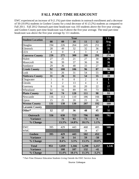## **FALL PART-TIME HEADCOUNT**

<span id="page-8-0"></span>EWC experienced an increase of 9 (1.1%) part-time students in outreach enrollment and a decrease of 50 (10.0%) students in Goshen County for a total decrease of 41 (3.2%) students as compared to Fall 2011. Fall 2012 Outreach part-time headcount was 103 students above the five-year average, and Goshen County part-time headcount was 8 above the five-year average. The total part-time headcount was above the five-year average by 111 students.

| <b>Student Location</b> |                  |                  | Year           |                |                  | 5 Yr.                   |
|-------------------------|------------------|------------------|----------------|----------------|------------------|-------------------------|
|                         | 08               | 09               | 10             | 11             | 12               | Avg.                    |
| Douglas                 | 194              | 226              | 264            | 245            | 251              | 236                     |
| Glenrock                | 28               | 49               | 32             | 32             | 36               | 35                      |
| <b>LEA</b>              | $\overline{4}$   | $\Omega$         | $\overline{4}$ | 3              | $\overline{4}$   | $\overline{\mathbf{3}}$ |
| <b>Converse County</b>  | $\overline{226}$ | 275              | 300            | 280            | 291              | 274                     |
| Hulett                  | 27               | 25               | 21             | 27             | 30               | 26                      |
| Moorcroft               | 36               | 39               | 37             | 36             | 30               | 36                      |
| Sundance                | 29               | 36               | 48             | 33             | 27               | 35                      |
| <b>Crook County</b>     | 92               | 100              | 106            | 96             | 87               | 96                      |
| Lusk                    | 31               | 26               | 31             | 54             | 55               | 39                      |
| <b>Niobrara County</b>  | 31               | 26               | 31             | 54             | 55               | 39                      |
| Chugwater               | $\mathbf{1}$     | $\boldsymbol{0}$ | $\overline{0}$ | $\overline{2}$ | $\boldsymbol{0}$ | $\mathbf{1}$            |
| Glendo                  | 3                | $\overline{2}$   | 13             | $\overline{4}$ | $\overline{3}$   | 5                       |
| Guernsey                | 9                | 16               | 18             | 20             | 22               | 17                      |
| Wheatland               | 51               | 56               | 89             | 85             | 73               | 71                      |
| <b>Platte County</b>    | 64               | 74               | 120            | 111            | 98               | 93                      |
| Newcastle               | 116              | 113              | 110            | 186            | 166              | 138                     |
| Upton                   | 15               | 25               | 20             | 21             | 26               | 21                      |
| <b>Weston County</b>    | 131              | 138              | 130            | 207            | 192              | 160                     |
| <b>Laramie County</b>   |                  |                  |                |                | 37               | $\overline{7}$          |
| Other*                  | 12               | 17               | 36             | 48             | 45               | 32                      |
| <b>Outreach</b>         | 556              | 630              | 723            | 796            | 805              | 702                     |
| <b>Variance</b>         |                  | 74               | 93             | 73             | $\boldsymbol{9}$ |                         |
| % Change                |                  | 13.3%            | 14.8%          | 10.1%          | 1.1%             |                         |
| <b>EWC</b>              | 395              | 429              | 443            | 468            | 405              | 508                     |
| <b>WMC</b>              |                  |                  |                | 34             | 47               |                         |
| Goshen                  | 395              | 429              | 443            | 502            | 452              | 444                     |
| <b>Variance</b>         |                  | 34               | 14             | 59             | $-50$            |                         |
| % Change                |                  | 8.6%             | 3.3%           | 13.3%          | $-10.0\%$        |                         |
| <b>Total</b>            | 951              | 1,059            | 1,166          | 1,298          | 1,257            | 1,146                   |
| <b>Variance</b>         |                  | 108              | 107            | 132            | $-41$            |                         |
| % Change                |                  | 11.4%            | 10.1%          | 11.3%          | $-3.2%$          |                         |

\* Part-Time Distance Education Students Living Outside the EWC Service Area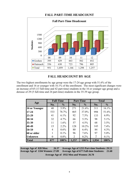<span id="page-9-0"></span>

#### **FALL PART-TIME HEADCOUNT**

#### **FALL HEADCOUNT BY AGE**

The two highest enrollments by age group were the 17-24 age group with 51.6% of the enrollment and 16 or younger with 16.1% of the enrollment. The most significant changes were an increase of 65 (13 full-time and 42 part-time) students in the 16 or younger age group and a derease of 29 (5 full-time and 24 part-time) students in the 35-39 age group.

| Age                |     | <b>Full-Time</b> |       | <b>Part-Time</b> |       | <b>Total</b>  |
|--------------------|-----|------------------|-------|------------------|-------|---------------|
|                    | No. | $\frac{0}{0}$    | No.   | $\frac{0}{0}$    | No.   | $\frac{6}{6}$ |
| 16 or Younger      | 40  | 5.9%             | 271   | 21.6%            | 311   | 16.1%         |
| $17 - 24$          | 533 | 78.7%            | 465   | 37.0%            | 998   | 51.6%         |
| $25 - 29$          | 41  | $6.1\%$          | 92    | 7.3%             | 133   | $6.9\%$       |
| 30-34              | 32  | 4.7%             | 66    | 5.3%             | 98    | 5.1%          |
| 35-39              | 11  | $1.6\%$          | 57    | 4.5%             | 68    | 3.5%          |
| 40-49              | 15  | $2.2\%$          | 128   | $10.2\%$         | 143   | 7.4%          |
| 50-59              | 4   | $0.6\%$          | 80    | $6.4\%$          | 84    | $4.3\%$       |
| <b>60 or older</b> |     | $0.1\%$          | 96    | 7.6%             | 97    | $5.0\%$       |
| <b>Unknown</b>     | 0   | $0.0\%$          | 2     | 0.2%             | 2     | $0.1\%$       |
| <b>Total</b>       | 677 | 100%             | 1,257 | 100%             | 1,934 | 100%          |

**Average Age of 828 Men: 26.37 Average Age of 1104 Women: 27.09 Average Age of 1255 Part-time Students: 29.53 Average Age of 677 Full-time Students: 21.68 Average Age of 1932 Men and Women: 26.78**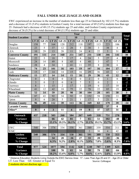#### **FALL UNDER AGE 25/AGE 25 AND OLDER**

<span id="page-10-0"></span>EWC experienced an increase in the number of students less than age 25 in Outreach by 102 (15.7%) students and a decrease of 33 (5.6%) students in Goshen County for a total increase of 69 (5.6%) students less than age 25. Outreach had a decrease of 48 (15.1%) students age 25 and older, and Goshen County experienced a decrease of 36 (9.3%) for a total decrease of 84 (11.9%) students age 25 and older.

|                         |                  |                         |                  |                  |                         | Year             |                |                  |                |                  | <b>Total</b>            |
|-------------------------|------------------|-------------------------|------------------|------------------|-------------------------|------------------|----------------|------------------|----------------|------------------|-------------------------|
| <b>Student Location</b> |                  | 08                      |                  | 09               |                         | 10               |                | 11               |                | 12               | Var                     |
|                         | LT 25            | GE 25                   | LT 25            | <b>GE 25</b>     | LT 25                   | GE 25            | LT 25          | <b>GE 25</b>     | LT 25          | <b>GE 25</b>     |                         |
| Douglas                 | 158              | 77                      | 164              | 120              | 212                     | 118              | 197            | 113              | 223            | 106              | 19                      |
| Glenrock                | 23               | 5                       | 37               | 12               | 28                      | 5                | 30             | 3                | 38             | $\overline{4}$   | 9                       |
| LEA                     | 10               | 29                      | 13               | 28               | 11                      | 24               | $\overline{4}$ | 22               | 5              | 31               | 10                      |
| <b>Converse County</b>  | 191              | 111                     | 214              | 160              | 251                     | 147              | 231            | 138              | 266            | 141              | 38                      |
| Hulett                  | 22               | 5                       | 18               | $\overline{7}$   | 17                      | $\overline{4}$   | 24             | 5                | 27             | $\overline{4}$   | $\overline{2}$          |
| Moorcroft               | 24               | 14                      | 49               | 8                | 45                      | $\overline{4}$   | 48             | $\overline{3}$   | 47             | $\overline{7}$   | $\overline{\mathbf{3}}$ |
| Sundance                | 28               | $\overline{4}$          | 34               | $\mathbf{1}$     | 41                      | 11               | 35             | 8                | 30             | 6                | $-7$                    |
| <b>Crook County</b>     | 74               | 23                      | 101              | 16               | 103                     | 19               | 107            | 16               | 104            | 17               | $-2$                    |
| Lusk                    | 15               | 17                      | 14               | 14               | 15                      | 16               | 29             | 36               | 43             | 12               | $-10$                   |
| <b>Niobrara County</b>  | 15               | 17                      | 14               | 14               | 15                      | 16               | 29             | 36               | 43             | 12               | $-10$                   |
| Chugwater               | $\boldsymbol{0}$ | $\mathbf{1}$            | $\boldsymbol{0}$ | $\mathbf{0}$     | $\mathbf{0}$            | $\boldsymbol{0}$ | $\overline{2}$ | $\boldsymbol{0}$ | $\mathbf{1}$   | $\boldsymbol{0}$ | $-1$                    |
| Glendo                  | $\overline{3}$   | $\overline{0}$          | $\overline{2}$   | $\boldsymbol{0}$ | 6                       | 7                | 5              | $\boldsymbol{0}$ | $\overline{2}$ | 1                | $-2$                    |
| Guernsey                | 8                | $\mathbf{1}$            | 15               | $\overline{2}$   | 17                      | $\mathbf{1}$     | 19             | 6                | 17             | 10               | $\overline{2}$          |
| Wheatland               | 41               | 12                      | 42               | 18               | 75                      | 22               | 78             | 22               | 85             | 19               | 4                       |
| <b>Platte County</b>    | 52               | 14                      | 59               | 20               | 98                      | 30               | 104            | 28               | 105            | 30               | $\overline{\mathbf{3}}$ |
| Newcastle               | 87               | 43                      | 92               | 34               | 92                      | 35               | 152            | 58               | 158            | 33               | $-19$                   |
| Upton                   | 9                | 6                       | 20               | 5                | 21                      | 1                | 17             | 5                | 21             | 6                | 5                       |
| <b>Weston County</b>    | 96               | 49                      | 112              | 39               | 113                     | 36               | 169            | 63               | 179            | 39               | $-14$                   |
| <b>Laramie County</b>   |                  |                         |                  |                  |                         |                  |                |                  | 37             | $\boldsymbol{0}$ |                         |
| Other*                  | 9                | $\overline{\mathbf{4}}$ | $\overline{3}$   | 11               | $\overline{\mathbf{4}}$ | 19               | 9              | 37               | 17             | 31               | $\overline{2}$          |
| Outreach                | 437              | 218                     | 503              | 260              | 584                     | 267              | 649            | 318              | 751            | 270              |                         |
| <b>Variance</b>         |                  |                         | 66               | 42               | 81                      | 7                | 65             | 51               | 102            | $-48$            | 54                      |
| % Change                |                  |                         | 15.1%            | 19.3%            | 16.1%                   | 2.7%             | 11.1%          | 19.1%            | 15.7%          | $-15.1%$         | 5.6%                    |
| <b>EWC</b>              | 540              | 306                     | 574              | 334              | 558                     | 361              | 589            | 359              | 554            | 311              | 56                      |
| <b>WMC</b>              |                  |                         |                  |                  |                         |                  | $\overline{2}$ | 30               | $\overline{4}$ | 42               | 22                      |
| Goshen                  | 540              | 306                     | 574              | 334              | 558                     | 361              | 591            | 389              | 558            | $\overline{353}$ |                         |
| <b>Variance</b>         |                  |                         | 34               | 28               | $-16$                   | 27               | 33             | 28               | $-33$          | $-36$            | $-69$                   |
| % Change                |                  |                         | 6.3%             | 9.2%             | $-2.8%$                 | 8.1%             | 5.9%           | 7.8%             | $-5.6%$        | $-9.3\%$         | $-7.0\%$                |
|                         |                  |                         |                  |                  |                         |                  |                |                  |                |                  |                         |
| <b>Total</b>            | 977              | 524                     | 1077             | 594              | 1142                    | 628              | 1240           | 707              | 1309           | 623              |                         |
| <b>Variance</b>         |                  |                         | <b>100</b>       | 70               | 65                      | 34               | 98             | 79               | 69             | $-84$            | $-15$                   |
| % Change                |                  |                         | $10.2\%$         | 13.4%            | $6.0\%$                 | 5.7%             | 8.6%           | $12.6\%$         | 5.6%           | $-11.9%$         | $-0.8\%$                |

LT- Less Than GE- Greater or Equal To Source: Colleague \* Distance Education Students Living Outside the EWC Service Area: 17 - Less Than Age 25 and 31 - Age 25 or Older

2 students did not disclose age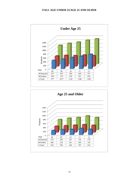#### **FALL AGE UNDER 25/AGE 25 AND OLDER**



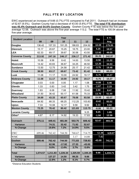#### FALL FTE BY LOCATION

<span id="page-12-0"></span>EWC experienced an increase of 9.66 (0.7%) FTE compared to Fall 2011. Outreach had an increase of 52.67 (9.5%). Goshen County had a decrease of 43.00 (5.6%) FTE. **The total FTE distribution was 45.4% Outreach and 54.6% Goshen County**. Goshen County FTE was below the five-year average 12.58. Outreach was above the five-year average 113.2. The total FTE is 100.54 above the five-year average.

| <b>Student Location</b> |          |          | Year     |          |          | Var      | 5 Yr.    |
|-------------------------|----------|----------|----------|----------|----------|----------|----------|
|                         | 08       | 09       | 10       | 11       | 12       |          | Avg.     |
| <b>Douglas</b>          | 136.42   | 157.33   | 191.25   | 186.83   | 204.92   | 18.08    | 175.35   |
| <b>Glenrock</b>         | 15.17    | 20.67    | 15.25    | 18.75    | 23.00    | 4.25     | 18.57    |
| <b>LEA</b>              | 62.33    | 69.17    | 39.67    | 30.58    | 43.50    | 12.92    | 49.05    |
| <b>Converse County</b>  | 213.92   | 247.16   | 246.17   | 236.17   | 271.42   | 35.25    | 242.97   |
| <b>Hulett</b>           | 10.58    | 9.58     | 8.42     | 14.00    | 13.50    | $-0.50$  | 11.22    |
| <b>Moorcroft</b>        | 14.42    | 40.83    | 36.67    | 34.25    | 46.50    | 12.25    | 34.53    |
| <b>Sundance</b>         | 13.50    | 12.75    | 24.58    | 25.17    | 21.42    | $-3.75$  | 19.48    |
| <b>Crook County</b>     | 38.50    | 63.17    | 69.67    | 73.42    | 81.42    | 8.00     | 65.23    |
| <b>Lusk</b>             | 11.08    | 11.17    | 10.00    | 24.92    | 19.17    | $-5.75$  | 15.27    |
| <b>Niobrara County</b>  | 11.08    | 11.17    | 10.00    | 24.92    | 19.17    | $-5.75$  | 15.27    |
| Chugwater               | 0.03     | 0.00     | 0.00     | 1.17     | 1.08     | $-0.08$  | 0.46     |
| Glendo                  | 1.33     | 0.83     | 3.42     | 3.42     | 1.75     | $-1.67$  | 2.15     |
| <b>Guernsey</b>         | 1.83     | 6.08     | 7.08     | 11.92    | 15.42    | 3.50     | 8.47     |
| Wheatland               | 31.50    | 36.42    | 50.17    | 61.58    | 75.33    | 13.75    | 51.00    |
| <b>Platte County</b>    | 34.69    | 43.33    | 60.67    | 78.08    | 93.58    | 15.50    | 62.07    |
| <b>Newcastle</b>        | 64.92    | 68.33    | 68.25    | 112.25   | 103.83   | $-8.42$  | 83.52    |
| <b>Upton</b>            | 7.33     | 10.08    | 12.17    | 9.58     | 9.92     | 0.33     | 9.82     |
| <b>Weston County</b>    | 72.25    | 78.42    | 80.42    | 121.83   | 113.75   | $-8.08$  | 93.33    |
| Laramie County          |          |          |          |          | 9.25     | 9.25     | 1.85     |
| Other*                  | 4.67     | 6.17     | 14.92    | 19.33    | 17.83    | $-1.50$  | 12.58    |
| <b>Outreach</b>         | 375.11   | 449.41   | 481.84   | 553.75   | 606.42   | 52.67    | 493.30   |
| <b>Variance</b>         |          | 74.31    | 32.42    | 71.92    | 52.67    |          |          |
| % Change                |          | 19.8%    | 7.2%     | 14.9%    | 9.5%     |          |          |
| <b>EWC</b>              | 699.46   | 762.42   | 744.50   | 768.67   | 714.75   | 12.38    | 628.07   |
| <b>WMC</b>              |          |          |          | 3.17     | 14.08    | 7.42     |          |
| <b>Goshen</b>           | 699.46   | 762.42   | 744.50   | 771.83   | 728.83   | $-43.00$ | 741.41   |
| <b>Variance</b>         |          | 62.96    | $-17.92$ | 27.33    | $-43.00$ |          |          |
| % Change                |          | 9.0%     | $-2.4%$  | 3.7%     | $-5.6%$  |          |          |
| <b>Total</b>            | 1,074.57 | 1,211.83 | 1,226.34 | 1,325.59 | 1,335.25 | 9.66     | 1,234.71 |
| <b>Variance</b>         |          | 137.27   | 14.50    | 99.25    | 9.66     |          |          |
| % Change                |          | 12.8%    | 1.2%     | 8.1%     | 0.7%     |          |          |

\*Distance Education Students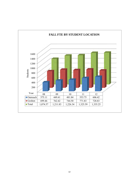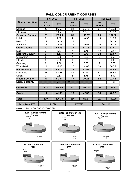<span id="page-14-0"></span>

|                        | <b>Fall 2010</b>      |            | <b>Fall 2011</b>        |                    | <b>Fall 2012</b>      |            |  |
|------------------------|-----------------------|------------|-------------------------|--------------------|-----------------------|------------|--|
| <b>Course Location</b> | No.<br><b>Courses</b> | <b>FTE</b> | No.<br><b>Courses</b>   | <b>FTE</b>         | No.<br><b>Courses</b> | <b>FTE</b> |  |
| Douglas                | 22                    | 95.50      | 31                      | 95.75              | 34                    | 120.75     |  |
| lenrock<br>G           | $\overline{4}$        | 13.50      | $\overline{\mathbf{4}}$ | $\overline{17.42}$ | 5                     | 17.17      |  |
| <b>Converse County</b> | 26                    | 109.00     | 35                      | 113.17             | 39                    | 137.92     |  |
| <b>Hulett</b>          | $\overline{7}$        | 7.08       | $\overline{7}$          | 10.33              | 10                    | 11.25      |  |
| Moorcroft              | 12                    | 33.17      | 11                      | 27.25              | 12                    | 34.33      |  |
| Sundance               | 11                    | 19.08      | 11                      | 19.58              | 10                    | 16.33      |  |
| <b>Crook County</b>    | 30                    | 59.33      | 29                      | 57.16              | 32                    | 61.91      |  |
| Lusk                   | 3                     | 1.17       | 4                       | 3.75               | 13                    | 12.67      |  |
| <b>Niobrara County</b> | 3                     | 1.17       | $\overline{\mathbf{4}}$ | 3.75               | 13                    | 12.67      |  |
| Chugwater              | $\mathbf 0$           | 0.00       | 1                       | 0.50               | $\overline{2}$        | 0.50       |  |
| Glendo                 | $\overline{3}$        | 2.08       | $\overline{4}$          | 2.75               | $\overline{2}$        | 1.00       |  |
| Guernsey               | $\overline{8}$        | 7.00       | 6                       | 6.58               | $\overline{7}$        | 7.75       |  |
| Wheatland              | 14                    | 35.08      | 17                      | 44.08              | 20                    | 58.75      |  |
| <b>Platte County</b>   | 25                    | 44.16      | 28                      | 53.91              | 31                    | 68.00      |  |
| Newcastle              | 27                    | 41.67      | 41                      | 63.50              | 47                    | 65.50      |  |
| Upton                  | $\overline{7}$        | 9.67       | 6                       | 6.75               | $\overline{7}$        | 5.92       |  |
| <b>Weston County</b>   | 34                    | 51.34      | 47                      | 70.25              | 54                    | 71.42      |  |
| <b>Laramie County</b>  |                       | 5          | $\overline{9}$          |                    |                       | .25        |  |
| <b>Outreach</b>        | 118                   | 265.00     | 143                     | 298.24             | 174                   | 361.17     |  |
| <b>Goshen</b>          | 11                    | 41.33      | 13                      | 42.33              | 13                    | 40.92      |  |
| <b>Total</b>           | 129                   | 306.33     | 156                     | 340.57             | 187                   | 402.09     |  |
| % of Total FTE         | 25.28%                |            | 27.77%                  |                    | 30.11%                |            |  |

## FALL CONCURRENT COURSES

Source: Colleague COURSE.SECTIONS File

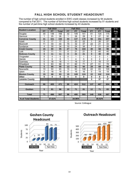#### FALL HIGH SCHOOL STUDENT HEADCOUNT

<span id="page-15-0"></span>The number of high school students enrolled in EWC credit classes increased by 94 students compared to Fall 2011. The number of full-time high school students increased by 51 students and the number of part-time high school students increased by 43 students.

|                         |                 | <b>Fall 2010</b> |              |                | <b>Fall 2011</b> |                 |                 | <b>Fall 2012</b> |                 | 3 Yr.             |  |
|-------------------------|-----------------|------------------|--------------|----------------|------------------|-----------------|-----------------|------------------|-----------------|-------------------|--|
| <b>Student Location</b> | <b>FT</b>       | PT               | <b>Total</b> | FT             | PT               | <b>Total</b>    | FT              | PT               | <b>Total</b>    | Avg.              |  |
| Douglas                 | 30              | 136              | 166          | 32             | 109              | 141             | 51              | 124              | 175             | 161               |  |
| Glenrock                |                 | 25               | 26           | 1              | 28               | 29              | 5               | 27               | 32              | 29                |  |
| <b>Converse County</b>  | 31              | 161              | 192          | 33             | 137              | 170             | 56              | 151              | 207             | 190               |  |
| Hulett                  | $\mathbf{0}$    | 17               | 17           | 2              | 20               | 22              | 1               | 26               | 27              | $22 \overline{ }$ |  |
| Moorcroft               | 11              | 33               | 44           | 15             | $\overline{32}$  | 47              | $\overline{22}$ | $\overline{21}$  | 43              | 45                |  |
| Sundance                | 4               | 30               | 34           | 10             | 24               | 34              | $\overline{7}$  | 21               | 28              | 32                |  |
| <b>Crook County</b>     | 15              | 80               | 95           | 27             | 76               | 103             | 30              | 68               | 98              | 99                |  |
| Lusk                    | 0               | 11               | 11           | $\Omega$       | $\overline{21}$  | 21              | $\Omega$        | 40               | 40              | 24                |  |
| <b>Niobrara County</b>  | $\bf{0}$        | 11               | 11           | $\bf{0}$       | 21               | 21              | $\bf{0}$        | 40               | 40              | 24                |  |
| Chugwater               | $\overline{0}$  | $\mathbf 0$      | 0            | $\overline{0}$ | 1                | 1               | 1               | 0                | 1               | 1                 |  |
| Glendo                  | $\Omega$        | 6                | 6            | 1              | 4                | 5               | 0               | $\overline{2}$   | $\overline{2}$  | $\overline{4}$    |  |
| Guernsey                | 0               | 16               | 16           | 1              | $\overline{16}$  | 17              | 1               | 16               | 17              | 17                |  |
| Wheatland               | $\overline{5}$  | 63               | 68           | 11             | 60               | $\overline{71}$ | $\overline{27}$ | $\overline{51}$  | $\overline{78}$ | 72                |  |
| <b>Platte County</b>    | 5               | 85               | 90           | 13             | 81               | 94              | 29              | 69               | 98              | 94                |  |
| Newcastle               | $\overline{15}$ | 50               | 65           | 15             | 93               | 108             | 22              | 83               | 105             | 93                |  |
| Upton                   | $\Omega$        | 18               | 18           | 0              | 16               | 16              | $\Omega$        | 19               | 19              | 18                |  |
| <b>Weston County</b>    | 15              | 68               | 83           | 15             | 109              | 124             | 22              | 102              | 124             | 110               |  |
| Other                   | $\bf{0}$        | $\bf{0}$         | $\bf{0}$     | $\mathbf{0}$   | $\mathbf{0}$     | $\bf{0}$        | $\bf{0}$        | $\bf{0}$         | $\bf{0}$        | $\bf{0}$          |  |
| <b>Laramie County</b>   |                 |                  |              |                |                  |                 | $\mathbf 0$     | 37               | 37              |                   |  |
|                         |                 |                  |              |                |                  |                 |                 |                  |                 |                   |  |
| <b>Outreach</b>         | 66              | 405              | 471          | 88             | 424              | 512             | 137             | 467              | 604             | 529               |  |
|                         |                 |                  |              |                |                  |                 |                 |                  |                 |                   |  |
| <b>Goshen</b>           | 5               | 81               | 86           | 10             | $\overline{71}$  | 81              | 12              | $\overline{71}$  | 83              | 83                |  |
|                         |                 |                  |              |                |                  |                 |                 |                  |                 |                   |  |
| <b>Total</b>            | $\overline{71}$ | 486              | 557          | 98             | 495              | 593             | 149             | 538              | 687             | 612               |  |
|                         |                 |                  |              |                |                  |                 |                 |                  |                 |                   |  |
| % of Total Students     |                 | 37.01%           |              |                | 34.96%           |                 |                 | 35.52%           |                 |                   |  |

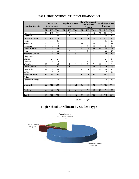| <b>Student Location</b> |                | <b>Concurrent</b><br><b>Courses Only</b> |                |           | <b>Regular Courses</b><br>Only |                         |                         | and Regular<br><b>Courses</b> | <b>Both Concurrent</b> |           | <b>Students</b> | <b>Total High School</b> |
|-------------------------|----------------|------------------------------------------|----------------|-----------|--------------------------------|-------------------------|-------------------------|-------------------------------|------------------------|-----------|-----------------|--------------------------|
|                         | FT             | <b>PT</b>                                | <b>Total</b>   | <b>FT</b> | <b>PT</b>                      | <b>Total</b>            | FT                      | <b>PT</b>                     | <b>Total</b>           | <b>FT</b> | <b>PT</b>       | <b>Total</b>             |
| Douglas                 | 44             | 107                                      | 151            |           | 5                              | 5                       | 7                       | 12                            | 19                     | 51        | 124             | 175                      |
| Glenrock                | $\overline{2}$ | 25                                       | 27             |           | 1                              | 1                       | 3                       | 1                             | $\overline{4}$         | 5         | 27              | 32                       |
| <b>Converse County</b>  | 46             | 132                                      | 178            |           | 6                              | 6                       | 10                      | 13                            | 23                     | 56        | 151             | 207                      |
| Hulett                  |                | 26                                       | 26             |           |                                |                         | $\mathbf{1}$            |                               | 1                      | 1         | 26              | 27                       |
| Moorcroft               | 4              | 14                                       | 18             |           |                                |                         | 18                      | 7                             | 25                     | 22        | 21              | 43                       |
| Sundance                | $\overline{c}$ | 16                                       | 18             |           |                                |                         | 5                       | 5                             | 10                     | 7         | 21              | 28                       |
| <b>Crook County</b>     | 6              | 56                                       | 62             |           |                                |                         | 24                      | 12                            | 36                     | 30        | 68              | 98                       |
| Lusk                    |                | 33                                       | 33             |           | 5                              | 5                       |                         | 2                             | $\overline{2}$         |           | 40              | 40                       |
| <b>Niobrara County</b>  |                | 33                                       | 33             |           | 5                              | 5                       |                         | $\overline{2}$                | $\overline{2}$         |           | 40              | 40                       |
| Chugwater               |                |                                          |                |           |                                |                         | 1                       |                               | 1                      | 1         |                 | 1                        |
| Glendo                  |                | $\overline{2}$                           | $\overline{2}$ |           |                                |                         |                         |                               |                        |           | $\overline{2}$  | $\overline{2}$           |
| Guernsey                | 1              | 15                                       | 16             |           |                                |                         |                         | 1                             | 1                      | 1         | 16              | $\overline{17}$          |
| Wheatland               | 24             | 44                                       | 68             |           | 1                              | $\mathbf{1}$            | 3                       | 6                             | 9                      | 27        | 51              | 78                       |
| <b>Platte County</b>    | 25             | 61                                       | 86             |           | 1                              | $\mathbf{1}$            | $\overline{\mathbf{4}}$ | 7                             | 11                     | 29        | 69              | 98                       |
| Newcastle               | 12             | 73                                       | 85             |           |                                |                         | 10                      | 10                            | 20                     | 22        | 83              | 105                      |
| Upton                   |                | 19                                       | 19             |           |                                |                         |                         |                               |                        |           | 19              | 19                       |
| <b>Weston County</b>    | 12             | 92                                       | 104            |           |                                |                         | 10                      | 10                            | 20                     | 22        | 102             | 124                      |
| $Other^*$               |                |                                          |                |           |                                |                         |                         |                               |                        |           |                 |                          |
| <b>Laramie County</b>   |                | 37                                       | 37             |           |                                |                         |                         |                               |                        |           | 37              | 37                       |
|                         |                |                                          |                |           |                                |                         |                         |                               |                        |           |                 |                          |
| <b>Outreach</b>         | 89             | 411                                      | 500            |           | 12                             | 12                      | 48                      | 44                            | 92                     | 137       | 467             | 604                      |
|                         |                |                                          |                |           |                                |                         |                         |                               |                        |           |                 |                          |
| Goshen                  | 4              | 66                                       | 70             |           | 4                              | $\overline{\mathbf{4}}$ | 8                       | 5                             | 13                     | 12        | 71              | 83                       |
|                         |                |                                          |                |           |                                |                         |                         |                               |                        |           |                 |                          |
| <b>Total</b>            | 93             | 477                                      | 570            |           | 16                             | 16                      | 56                      | 49                            | 105                    | 149       | 538             | 687                      |

#### **FALL HIGH SCHOOL STUDENT HEADCOUNT**

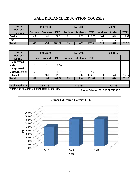## **FALL DISTANCE EDUCATION COURSES**

<span id="page-17-0"></span>

| <b>Course</b>   | <b>Fall 2010</b><br><b>Delivery</b> |                 |            |                 | <b>Fall 2011</b> |               | <b>Fall 2012</b> |                 |            |  |
|-----------------|-------------------------------------|-----------------|------------|-----------------|------------------|---------------|------------------|-----------------|------------|--|
| <b>Location</b> | <b>Sections</b>                     | <b>Students</b> | <b>FTE</b> | <b>Sections</b> | Students         | <b>FTE</b>    | <b>Sections</b>  | <b>Students</b> | <b>FTE</b> |  |
| Goshen          | 43                                  | 491             | 109.58     | 85              | 647              | 152.00        | 101              | 640             | 145.67     |  |
| Lusk            |                                     |                 |            |                 |                  |               |                  | 36              | 7.50       |  |
| <b>Total</b>    | 43                                  | 491             | 109.58     | 85              | 647              | <b>152.00</b> | 111              | 676             | 153.17     |  |

| <b>Course</b>                                |                 | <b>Fall 2010</b> |            |                 | <b>Fall 2011</b> |            | <b>Fall 2012</b> |        |        |  |
|----------------------------------------------|-----------------|------------------|------------|-----------------|------------------|------------|------------------|--------|--------|--|
| <b>Delivery</b>                              | <b>Sections</b> | <b>Students</b>  | <b>FTE</b> | <b>Sections</b> | <b>Students</b>  | <b>FTE</b> |                  |        |        |  |
| <b>Method</b><br><b>Compressed</b>           |                 |                  |            |                 |                  |            |                  |        |        |  |
| <b>Video</b>                                 |                 | 3                | 1.00       |                 |                  |            |                  |        |        |  |
| <b>Compressed</b>                            |                 |                  |            |                 |                  |            |                  |        |        |  |
| <b>Video/Internet</b>                        | 2               | 7                | 1.75       | $\overline{2}$  | 8                | 2.00       |                  |        |        |  |
| <b>Internet</b>                              | 40              | 481              | 106.83     | $\overline{83}$ | 638              | 149.67     | 111              | 676    | 153.17 |  |
| <b>Total</b>                                 | 43              | 491              | 109.58     | 85              | 646              | 151.67     | 111              | 676    | 153.17 |  |
|                                              |                 |                  |            |                 |                  |            |                  |        |        |  |
| % of Total FTE                               |                 | 8.27%            |            |                 | 12.52%           |            |                  | 11.47% |        |  |
| Number of students is a duplicated headcount |                 |                  |            |                 |                  |            |                  |        |        |  |

Number of students is a duplicated headcount.

Source: Colleague COURSE.SECTIONS File

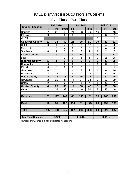## FALL DISTANCE EDUCATION STUDENTS

| <b>Student Location</b> |                         | <b>Fall 2010</b> |                         |           | <b>Fall 2011</b> |                | <b>Fall 2012</b> |                 |                |  |
|-------------------------|-------------------------|------------------|-------------------------|-----------|------------------|----------------|------------------|-----------------|----------------|--|
|                         | <b>FT</b>               | <b>PT</b>        | <b>Total</b>            | <b>FT</b> | PT               | <b>Total</b>   | <b>FT</b>        | PT              | <b>Total</b>   |  |
| Douglas                 | 21                      | 22               | 43                      | 21        | 28               | 49             | 19               | 29              | 48             |  |
| Glenrock                | 0                       | 6                | 6                       | 0         | $\overline{2}$   | $\overline{2}$ | 0                | 3               | 3              |  |
| <b>WLEA</b>             |                         |                  |                         |           |                  |                | $\overline{0}$   | 1               | $\mathbf{1}$   |  |
| <b>Converse County</b>  | 21                      | 28               | 49                      | 21        | 30               | 51             | 19               | 33              | 52             |  |
| <b>Hulett</b>           | 0                       | 4                | $\overline{\mathbf{4}}$ | 3         | 9                | 12             | $\overline{0}$   | $\overline{4}$  | 4              |  |
| Moorcroft               | 1                       | 3                | $\overline{4}$          | 0         | 3                | 3              | $\overline{0}$   | 4               | $\overline{4}$ |  |
| Sundance                | $\mathbf 0$             | $\overline{2}$   | $\overline{2}$          | 0         | $\overline{2}$   | $\overline{2}$ | 1                | $\overline{2}$  | 3              |  |
| <b>Crook County</b>     | 1                       | 9                | 10                      | 3         | 14               | 17             | 1                | 10              | 11             |  |
| Lusk                    | 1                       | 1                | $\overline{2}$          | 0         | 5                | 5              | $\overline{0}$   | 28              | 28             |  |
| <b>Niobrara County</b>  | 1                       | 1                | $\overline{2}$          | $\bf{0}$  | 5                | 5              | $\bf{0}$         | 28              | 28             |  |
| Chugwater               | $\mathbf 0$             | $\overline{0}$   | 0                       | 0         | $\overline{2}$   | $\overline{2}$ | 1                | $\mathbf 0$     | 1              |  |
| Glendo                  | 0                       | 0                | 0                       | 0         | $\overline{0}$   | 0              | 0                | 1               | $\mathbf{1}$   |  |
| Guernsey                | $\overline{0}$          | 1                | 1                       | 4         | 3                | $\overline{7}$ | $\overline{4}$   | 6               | 10             |  |
| Wheatland               | $\overline{2}$          | 13               | 15                      | 4         | 11               | 15             | $\overline{4}$   | 10              | 14             |  |
| <b>Platte County</b>    | $\overline{2}$          | 14               | 16                      | 8         | 16               | 24             | 9                | $\overline{17}$ | 26             |  |
| Newcastle               | $\overline{2}$          | 29               | 31                      | 11        | 27               | 38             | $\overline{2}$   | 27              | 29             |  |
| Upton                   | $\overline{2}$          | $\overline{0}$   | $\overline{2}$          | 1         | 3                | 4              | 1                | 6               | $\overline{7}$ |  |
| <b>Weston County</b>    | $\overline{\mathbf{4}}$ | 29               | 33                      | 12        | 30               | 42             | 3                | 33              | 36             |  |
| Other*                  | $\overline{2}$          | 36               | 38                      | 4         | 48               | 52             | 3                | 45              | 48             |  |
|                         |                         |                  |                         |           |                  |                |                  |                 |                |  |
| <b>Outreach</b>         | 31                      | 117              | 148                     | 48        | 143              | 191            | 35               | 166             | 201            |  |
|                         |                         |                  |                         |           |                  |                |                  |                 |                |  |
| Goshen                  | 76                      | 51               | 127                     | 114       | 61               | 175            | 29               | 157             | 186            |  |
|                         |                         |                  |                         |           |                  |                |                  |                 |                |  |
| Total                   | 107                     | 168              | 275                     | 162       | 204              | 366            | 64               | 323             | 387            |  |
|                         |                         |                  |                         |           |                  |                |                  |                 |                |  |
| % of Total Students     | 18.27%                  |                  |                         |           | 21.58%           |                | 20.01%           |                 |                |  |

## Full-Time / Part-Time

Number of students is a non-duplicated headcount.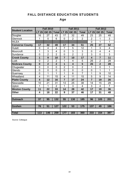## FALL DISTANCE EDUCATION STUDENTS

## Age

| <b>Student Location</b> |              | <b>Fall 2010</b> |                |                | <b>Fall 2011</b> |                | <b>Fall 2012</b>        |                |                |  |
|-------------------------|--------------|------------------|----------------|----------------|------------------|----------------|-------------------------|----------------|----------------|--|
|                         | <b>LT 25</b> | <b>GE 25</b>     |                | Total LT 25    | <b>GE 25</b>     | <b>Total</b>   | <b>LT 25</b>            | <b>GE 25</b>   | <b>Total</b>   |  |
| Douglas                 | 16           | 27               | 43             | 17             | 32               | 49             | 23                      | 25             | 48             |  |
| Glenrock                | 1            | 5                | 6              | $\mathbf 0$    | $\overline{2}$   | $\overline{2}$ | $\overline{2}$          | 1              | 3              |  |
| <b>WLEA</b>             |              |                  |                |                |                  |                | $\mathbf 0$             | 1              | 1              |  |
| <b>Converse County</b>  | 17           | 32               | 49             | 17             | 34               | 51             | 25                      | 27             | 52             |  |
| <b>Hulett</b>           | $\mathbf 0$  | 4                | 4              | $\overline{7}$ | 5                | 12             | 1                       | 3              | $\overline{4}$ |  |
| Moorcroft               | 1            | 3                | 4              | 0              | 3                | 3              | $\mathbf 0$             | 4              | 4              |  |
| Sundance                | 0            | $\overline{2}$   | $\overline{2}$ | $\overline{0}$ | $\overline{2}$   | $\overline{2}$ | $\overline{3}$          | $\overline{0}$ | $\overline{3}$ |  |
| <b>Crook County</b>     | 1            | 9                | 10             | $\overline{7}$ | 10               | 17             | $\overline{\mathbf{4}}$ | $\overline{7}$ | 11             |  |
| Lusk                    | 0            | $\overline{2}$   | $\overline{2}$ | 1              | 4                | 5              | 26                      | $\overline{2}$ | 28             |  |
| <b>Niobrara County</b>  | $\bf{0}$     | $\overline{2}$   | $\overline{2}$ | 1              | 4                | 5              | 26                      | $\overline{2}$ | 28             |  |
| Chugwater               | 0            | $\mathbf 0$      | $\mathbf 0$    | $\overline{2}$ | $\overline{0}$   | $\overline{2}$ | 1                       | $\mathbf 0$    | 1              |  |
| Glendo                  | 0            | $\mathbf 0$      | $\mathbf 0$    | 0              | $\overline{0}$   | $\mathbf 0$    | $\mathbf 0$             | 1              | 1              |  |
| Guernsey                | 0            | 1                | 1              | 1              | 6                | $\overline{7}$ | 1                       | 9              | 10             |  |
| Wheatland               | 4            | 11               | 15             | 4              | 11               | 15             | 5                       | 9              | 14             |  |
| <b>Platte County</b>    | 4            | 12               | 16             | $\overline{7}$ | 17               | 24             |                         | 19             | 26             |  |
| Newcastle               | 10           | 21               | 31             | 13             | 25               | 38             | 14                      | 15             | 29             |  |
| Upton                   | 1            | 1                | $\overline{2}$ | 1              | 3                | $\overline{4}$ | 3                       | 4              | $\overline{7}$ |  |
| <b>Weston County</b>    | 11           | 22               | 33             | 14             | 28               | 42             | 17                      | 19             | 36             |  |
| <b>Other</b>            | 4            | 18               | 22             | 9              | 37               | 46             | 17                      | 31             | 48             |  |
|                         |              |                  |                |                |                  |                |                         |                |                |  |
| <b>Outreach</b>         | 37           | 95               | 132            | 55             | 130              | 185            | 96                      | 105            | 201            |  |
|                         |              |                  |                |                |                  |                |                         |                |                |  |
| <b>Goshen</b>           | 76           | 51               | 127            | 122            | 53               | $175$          | 137                     | 49             | 186            |  |
|                         |              |                  |                |                |                  |                |                         |                |                |  |
| <b>Total</b>            | 113          | 146              | 259            | 177            | 183              | 360            | 233                     | 154            | 387            |  |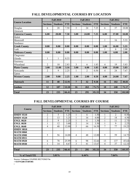<span id="page-20-0"></span>

|                        |                 | <b>Fall 2010</b> |            |                 | <b>Fall 2011</b> |            | <b>Fall 2012</b> |                 |            |  |
|------------------------|-----------------|------------------|------------|-----------------|------------------|------------|------------------|-----------------|------------|--|
| <b>Course Location</b> | <b>Sections</b> | <b>Students</b>  | <b>FTE</b> | <b>Sections</b> | <b>Students</b>  | <b>FTE</b> | <b>Sections</b>  | <b>Students</b> | <b>FTE</b> |  |
| Douglas                | 6               | 28               | 7.50       | 3               | 24               | 7.25       | 6                | 37              | 10.00      |  |
| Glenrock               |                 |                  |            |                 |                  |            |                  |                 |            |  |
| <b>Converse County</b> | 6.00            | 28.00            | 7.50       | 3.00            | 24.00            | 7.25       | 6.00             | 37.00           | 10.00      |  |
| Hulett                 |                 |                  |            |                 |                  |            |                  |                 |            |  |
| Moorcroft              |                 |                  |            |                 |                  |            | 1                | 16              | 5.33       |  |
| Sundance               |                 |                  |            |                 |                  |            |                  |                 |            |  |
| <b>Crook County</b>    | 0.00            | 0.00             | 0.00       | 0.00            | 0.00             | 0.00       | 1.00             | 16.00           | 5.33       |  |
| Lusk                   |                 |                  |            |                 |                  |            |                  | 6               | 2.00       |  |
| <b>Niobrara County</b> | 0.00            | 0.00             | 0.00       | 0.00            | 0.00             | 0.00       | 1.00             | 6.00            | 2.00       |  |
| Chugwater              |                 |                  |            |                 |                  |            |                  |                 |            |  |
| Glendo                 | 1               | 1                | 0.33       |                 |                  |            |                  |                 |            |  |
| Guernsey               |                 |                  |            |                 |                  |            |                  |                 |            |  |
| Wheatland              | $\overline{2}$  | 10               | 2.83       | 3               | 6                | 1.83       | $\overline{4}$   | 19              | 5.83       |  |
| <b>Platte County</b>   | 3.00            | 11.00            | 3.16       | 3.00            | 6.00             | 1.83       | 4.00             | 19.00           | 5.83       |  |
| Newcastle              | $\overline{2}$  | 9                | 2.25       | $\mathbf{1}$    | $\overline{2}$   | 0.50       | $\overline{4}$   | 24              | 7.67       |  |
| Upton                  |                 |                  |            |                 |                  |            |                  |                 |            |  |
| <b>Weston County</b>   | 2.00            | 9.00             | 2.25       | 1.00            | 2.00             | 0.50       | 4.00             | 24.00           | 7.67       |  |
| Outreach               | 11              | 48               | 12.91      | $\overline{7}$  | 32               | 9.58       | 16               | 102             | 30.83      |  |
| Goshen                 | 12              | 187              | 53.50      | 16              | 263              | 75.75      | 18               | 248             | 71.17      |  |
| <b>Total</b>           | 23              | 235              | 66.41      | 23              | 295              | 85.33      | 34               | 350             | 102.00     |  |

## **FALL DEVELOPMENTAL COURSES BY LOCATION**

## **FALL DEVELOPMENTAL COURSES BY COURSE**

|                  |                 | <b>Fall 2010</b> |            |                 | <b>Fall 2011</b> |            | <b>Fall 2012</b> |                 |            |  |
|------------------|-----------------|------------------|------------|-----------------|------------------|------------|------------------|-----------------|------------|--|
| Course           | <b>Sections</b> | <b>Students</b>  | <b>FTE</b> | <b>Sections</b> | <b>Students</b>  | <b>FTE</b> | <b>Sections</b>  | <b>Students</b> | <b>FTE</b> |  |
| <b>HMDV 0510</b> | 2               | 5                | 1.25       |                 | 6                | 1.50       |                  | $\overline{2}$  | 0.50       |  |
| <b>HMDV 0520</b> | 2               | 13               | 3.25       |                 | 16               | 4.00       | $\overline{2}$   | 18              | 4.50       |  |
| <b>ENGL 0620</b> | 2               | 9                | 2.25       |                 | 6                | 1.50       |                  | 11              | 2.75       |  |
| <b>ENGL 0630</b> |                 | 12               | 3.00       | $\overline{2}$  | 14               | 3.50       |                  | 9               | 2.25       |  |
| <b>ENGL 0640</b> | 4               | 48               | 12.00      | 5               | 66               | 16.50      | $\tau$           | 77              | 19.25      |  |
| <b>HMDV 0810</b> |                 |                  |            |                 |                  |            |                  |                 |            |  |
| <b>MATH 0860</b> |                 |                  |            |                 |                  |            |                  |                 |            |  |
| <b>MATH 0900</b> | 5               | 56               | 14.00      | $\overline{4}$  | 48               | 12.00      | 5                | 59              | 14.75      |  |
| <b>MATH 0915</b> |                 |                  |            |                 |                  |            |                  |                 |            |  |
| <b>MATH 0920</b> | 6               | 78               | 25.99      | 6               | 98               | 32.66      | 13               | 137             | 45.64      |  |
| <b>MATH 0930</b> |                 | 14               | 4.67       | 3               | 41               | 13.67      | 4                | 37              | 12.33      |  |
|                  |                 |                  |            |                 |                  |            |                  |                 |            |  |
| <b>Total</b>     | 23              | 235              | 66.41      | 23              | 295              | 85.33      | 34               | 350             | 101.97     |  |
|                  |                 |                  |            |                 |                  |            |                  |                 |            |  |
| % of Total FTE   |                 | 5.01%            |            |                 | 6.44%            |            |                  | 7.64%           |            |  |

Source: Colleague COURSE.SECTIONS File

**P^æå&[ˇ}o/¥a/&ůˇ]|a&æe^å** 

Á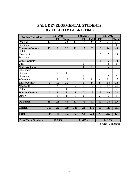# **FALL DEVELOPMENTAL STUDENTS BY FULL-TIME/PART-TIME**

<span id="page-21-0"></span>

| <b>Student Location</b> |              | <b>Fall 2010</b> |                 |                  | <b>Fall 2011</b> |                 | <b>Fall 2012</b> |                 |                 |
|-------------------------|--------------|------------------|-----------------|------------------|------------------|-----------------|------------------|-----------------|-----------------|
|                         | <b>FT</b>    | <b>PT</b>        | <b>Total</b>    | <b>FT</b>        | <b>PT</b>        | <b>Total</b>    | <b>FT</b>        | <b>PT</b>       | <b>Total</b>    |
| Douglas                 | 13           | $\overline{9}$   | 22              | 11               | 17               | 28              | 15               | 24              | $\overline{39}$ |
| Glenrock                |              |                  |                 |                  |                  |                 | 1                |                 | 1               |
| <b>Converse County</b>  | 13           | 9                | 22              | 11               | 17               | 28              | 16               | 24              | 40              |
| Hulett                  |              |                  |                 |                  |                  |                 |                  |                 |                 |
| Moorcroft               |              |                  |                 |                  |                  |                 | 13               | 5               | 18              |
| Sundance                |              |                  |                 |                  |                  |                 |                  |                 |                 |
| <b>Crook County</b>     |              |                  |                 |                  |                  |                 | 13               | 5               | 18              |
| Lusk                    |              |                  |                 |                  | 1                | 1               |                  | $\overline{6}$  | 6               |
| <b>Niobrara County</b>  |              |                  |                 |                  | $\mathbf{1}$     | $\mathbf{1}$    |                  | 6               | 6               |
| Chugwater               |              |                  |                 |                  |                  |                 |                  |                 |                 |
| Glendo                  |              | 1                | $\mathbf{1}$    |                  |                  |                 |                  |                 |                 |
| Guernsey                |              |                  |                 |                  | $\mathbf{1}$     | $\mathbf{1}$    | $\overline{3}$   | $\overline{3}$  | $\overline{6}$  |
| Wheatland               | 1            | $\overline{9}$   | $\overline{10}$ |                  | $\overline{8}$   | $\overline{8}$  | $\overline{6}$   | $\overline{11}$ | $\overline{17}$ |
| <b>Platte County</b>    | $\mathbf{1}$ | 10               | 11              |                  | 9                | 9               | 9                | 14              | 23              |
| Newcastle               |              | 8                | $\overline{8}$  | $\overline{5}$   | $\overline{7}$   | $\overline{12}$ | $\overline{12}$  | $\overline{17}$ | 29              |
| Upton                   | 1            |                  | 1               |                  |                  |                 |                  | $\overline{2}$  | $\overline{2}$  |
| <b>Weston County</b>    | $\mathbf{1}$ | 8                | 9               | 5                | $\overline{7}$   | 12              | 12               | 19              | 31              |
| <b>Other</b>            |              | $\mathbf{1}$     | $\mathbf{1}$    | $\mathbf{1}$     | 6                | 7               | $\overline{2}$   | 6               | 8               |
|                         |              |                  |                 |                  |                  |                 |                  |                 |                 |
| <b>Outreach</b>         | 15           | 28               | 43              | 17               | 40               | $\overline{57}$ | 52               | 74              | 126             |
| Goshen                  | 119          | $\overline{20}$  | 139             | $\overline{143}$ | $\overline{28}$  | 171             | 18               | 133             | 151             |
|                         |              |                  |                 |                  |                  |                 |                  |                 |                 |
| <b>Total</b>            | 134          | 48               | 182             | <b>160</b>       | 68               | 228             | 70               | 207             | 277             |
|                         |              |                  |                 |                  |                  |                 |                  |                 |                 |
| % of Total Students     |              | 10.15%           |                 |                  | 11.60%           |                 |                  | 14.32%          |                 |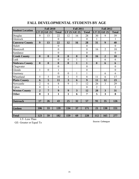|                         |                  | <b>Fall 2010</b> |                  |                         | <b>Fall 2011</b>        |                  |                  | <b>Fall 2012</b>        |                |
|-------------------------|------------------|------------------|------------------|-------------------------|-------------------------|------------------|------------------|-------------------------|----------------|
| <b>Student Location</b> | LT 25            | <b>GE 25</b>     | <b>Total</b>     | LT 25                   | <b>GE 25</b>            | <b>Total</b>     | $LT$ 25          | <b>GE 25</b>            | <b>Total</b>   |
| Douglas                 | 9                | 13               | 22               | 12                      | 16                      | 28               | 30               | 9                       | 39             |
| Glenrock                |                  |                  | $\mathbf{0}$     |                         |                         | $\overline{0}$   | $\mathbf{1}$     |                         | 1              |
| <b>Converse County</b>  | 9                | 13               | 22               | 12                      | 16                      | 28               | 31               | 9                       | 40             |
| Hulett                  |                  |                  | $\overline{0}$   |                         |                         | $\overline{0}$   |                  |                         | $\overline{0}$ |
| Moorcroft               |                  |                  | $\boldsymbol{0}$ |                         |                         | $\boldsymbol{0}$ | 16               | $\overline{2}$          | 18             |
| Sundance                |                  |                  | $\boldsymbol{0}$ |                         |                         | $\boldsymbol{0}$ |                  |                         | $\overline{0}$ |
| <b>Crook County</b>     | $\boldsymbol{0}$ | $\boldsymbol{0}$ | $\boldsymbol{0}$ | $\boldsymbol{0}$        | $\boldsymbol{0}$        | $\boldsymbol{0}$ | 16               | $\overline{2}$          | 18             |
| Lusk                    |                  |                  | $\boldsymbol{0}$ | $\overline{0}$          | $\mathbf{1}$            | $\mathbf{1}$     |                  | 6                       | 6              |
| <b>Niobrara County</b>  | $\boldsymbol{0}$ | $\boldsymbol{0}$ | $\boldsymbol{0}$ | $\boldsymbol{0}$        | $\mathbf{1}$            | $\mathbf{1}$     | $\boldsymbol{0}$ | 6                       | 6              |
| Chugwater               |                  |                  | $\mathbf{0}$     |                         |                         | $\boldsymbol{0}$ |                  |                         | $\overline{0}$ |
| Glendo                  | 1                | $\boldsymbol{0}$ | $\mathbf{1}$     |                         |                         | $\mathbf{0}$     |                  |                         | $\overline{0}$ |
| Guernsey                |                  |                  | $\overline{0}$   | $\overline{0}$          | $\mathbf{1}$            | $\mathbf{1}$     |                  | 6                       | 6              |
| Wheatland               | 5                | 5                | 10               | 3                       | 5                       | 8                | 11               | 6                       | 17             |
| <b>Platte County</b>    | 6                | 5                | 11               | $\overline{\mathbf{3}}$ | 6                       | $\boldsymbol{9}$ | 11               | 12                      | 23             |
| Newcastle               | $\overline{2}$   | 6                | 8                | 9                       | 3                       | 12               | 26               | 3                       | 29             |
| Upton                   | $\overline{0}$   | 1                | $\mathbf{1}$     |                         |                         | $\mathbf{0}$     | $\overline{2}$   |                         | $\overline{2}$ |
| <b>Weston County</b>    | $\overline{2}$   | $\overline{7}$   | 9                | 9                       | $\overline{\mathbf{3}}$ | 12               | 28               | $\overline{\mathbf{3}}$ | 31             |
| <b>Other</b>            | $\bf{0}$         | $\mathbf{1}$     | $\mathbf{1}$     | $\mathbf{1}$            | 6                       | $\overline{7}$   | 5                | $\overline{\mathbf{3}}$ | 8              |
|                         |                  |                  |                  |                         |                         |                  |                  |                         |                |
| <b>Outreach</b>         | 17               | 26               | 43               | 25                      | 32                      | 57               | 91               | 35                      | 126            |
|                         |                  |                  |                  |                         |                         |                  |                  |                         |                |
| <b>Goshen</b>           | 106              | 33               | 139              | 134                     | 37                      | 171              | 21               | 130                     | 151            |
|                         |                  |                  |                  |                         |                         |                  |                  |                         |                |
| <b>Total</b>            | 123              | 59               | 182              | 159                     | 69                      | 228              | 112              | 165                     | 277            |

## **FALL DEVELOPMENTAL STUDENTS BY AGE**

LT- Less Than

GE- Greater or Equal To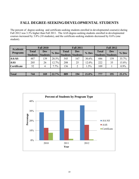## <span id="page-23-0"></span>**FALL DEGREE-SEEKING/DEVELOPMENTAL STUDENTS**

The percent of degree-seeking and certificate-seeking students enrolled in developmental course(s) during Fall 2012 was 3.3% higher than Fall 2011. The AAS degree-seeking students enrolled in developmental courses increased by 3.8% (10 students), and the certificate-seeking students decreased by 0.6% (one student).

| <b>Academic</b>    |                                 | <b>Fall 2010</b>              |       |              | <b>Fall 2011</b>                |         | <b>Fall 2012</b>                         |            |         |  |
|--------------------|---------------------------------|-------------------------------|-------|--------------|---------------------------------|---------|------------------------------------------|------------|---------|--|
| <b>Programs</b>    | <b>Total</b><br><b>Students</b> | <b>Dev</b><br><b>Students</b> | % Dev | <b>Total</b> | Dev<br><b>Students Students</b> | $%$ Dev | <b>Total</b><br><b>Students Students</b> | <b>Dev</b> | % Dev   |  |
| <b>AA/AS</b>       | 487                             | 139                           | 28.5% | 545          | 167                             | 30.6%   | 446                                      | 159        | 35.7%   |  |
| <b>AAS</b>         | 205                             | 26                            | 12.7% | 208          | 25                              | 12.0%   | 222                                      | 35         | 15.8%   |  |
| <b>Certificate</b> | 52                              | 4                             | 7.7%  | 136          | $\overline{2}$                  | 1.5%    | 109                                      |            | $0.9\%$ |  |
|                    |                                 |                               |       |              |                                 |         |                                          |            |         |  |
| <b>Total</b>       | 744                             | 169                           | 22.7% | 889          | 194                             | 21.8%   | 777                                      | 195        | 25.1%   |  |

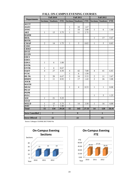<span id="page-24-0"></span>

| <b>Departments</b>         | <b>Fall 2010</b> |                 |            |                         | <b>Fall 2011</b>         |            | <b>Fall 2012</b> |                         |            |  |
|----------------------------|------------------|-----------------|------------|-------------------------|--------------------------|------------|------------------|-------------------------|------------|--|
|                            | <b>Sections</b>  | <b>Students</b> | <b>FTE</b> |                         | <b>Sections Students</b> | <b>FTE</b> |                  | Sections Students       | <b>FTE</b> |  |
| $\mathbf{ACCT}$            |                  |                 |            |                         |                          |            |                  |                         |            |  |
| <b>AGEC</b>                |                  |                 |            | $\mathbf{1}$            | 10                       | 1.67       |                  |                         |            |  |
| <b>ANSC</b>                |                  |                 |            | $\mathbf{1}$            | 18                       | 3.00       | $\mathbf{1}$     | 6                       | 1.00       |  |
| <b>ART</b>                 | $\mathbf{1}$     | 15              | 3.75       | $\mathbf{1}$            | 11                       | 2.75       |                  |                         |            |  |
| <b>BADM</b>                |                  |                 |            |                         |                          |            |                  |                         |            |  |
| <b>BIOL</b>                |                  |                 |            |                         |                          |            | $\mathbf{1}$     | 17                      | 5.67       |  |
| <b>BOTK</b>                |                  |                 |            |                         |                          |            |                  |                         |            |  |
| <b>CMAP</b>                | $\overline{2}$   | 14              | 1.75       | $\mathbf{1}$            | 5                        | 0.83       | $\mathbf{1}$     | 5                       | 0.83       |  |
| $\overline{\mathrm{cosc}}$ |                  |                 |            |                         |                          |            |                  |                         |            |  |
| <b>CRMJ</b>                |                  |                 |            |                         |                          |            |                  |                         |            |  |
| <b>DVST</b>                |                  |                 |            |                         |                          |            |                  |                         |            |  |
| <b>ECON</b>                |                  |                 |            |                         |                          |            |                  |                         |            |  |
| <b>EDCI</b>                |                  |                 |            |                         |                          |            |                  |                         |            |  |
| <b>EDEC</b>                |                  |                 |            |                         |                          |            |                  |                         |            |  |
| <b>EDUC</b>                | $\mathbf{1}$     | $\overline{4}$  | 1.00       |                         |                          |            |                  |                         |            |  |
| <b>ENTK</b>                |                  |                 |            |                         |                          |            |                  |                         |            |  |
| <b>ENTR</b>                | $\mathbf{1}$     | $\overline{4}$  | 0.67       |                         |                          |            |                  |                         |            |  |
| <b>EQST</b>                | $\overline{4}$   | 27              | 4.50       | $\overline{\mathbf{4}}$ | 42                       | 7.00       | $\overline{4}$   | 41                      | 6.83       |  |
| <b>FCSC</b>                |                  |                 |            | $\mathbf{1}$            | 6                        | 1.50       |                  |                         |            |  |
| <b>HLTK</b>                | $\overline{2}$   | 20              | 6.67       | $\overline{\mathbf{3}}$ | 16                       | 5.33       | $\overline{2}$   | 11                      | 3.67       |  |
| <b>HMDV</b>                | $\mathbf{1}$     | 11              | 0.92       | $\mathbf{1}$            | 17                       | 1.42       | $\overline{2}$   | 26                      | 3.08       |  |
| <b>JOUR</b>                |                  |                 |            |                         |                          |            |                  |                         |            |  |
| <b>MATH</b>                |                  |                 |            |                         |                          |            |                  |                         |            |  |
| <b>MUSC</b>                |                  |                 |            | $\mathbf{1}$            | $\overline{4}$           | 0.33       | $\mathbf{1}$     | $\mathbf{1}$            | 0.08       |  |
| <b>PEAT</b>                |                  |                 |            |                         |                          |            |                  |                         |            |  |
| <b>PEPR</b>                |                  |                 |            |                         |                          |            |                  |                         |            |  |
| <b>PSYC</b>                |                  |                 |            |                         |                          |            | $\mathbf{1}$     | 5                       | 1.25       |  |
| $\overline{SOC}$           | $\mathbf{1}$     | 21              | 5.25       |                         |                          |            |                  |                         |            |  |
| <b>STAT</b>                |                  |                 |            |                         |                          |            |                  |                         |            |  |
| WELD                       | $\mathbf{1}$     | 15              | 3.75       | $\mathbf{1}$            | 14                       | 3.50       | $\mathbf{1}$     | 16                      | 4.00       |  |
| <b>ZOO</b>                 | $\overline{1}$   | $\overline{3}$  | 1.00       |                         |                          |            |                  |                         |            |  |
| <b>Total</b>               | 15               | 134             | 29.26      | 15                      | 143                      | 27.33      | 14               | 128                     | 26.41      |  |
| <b>Sects Cancelled</b>     |                  | $\overline{7}$  |            |                         | $\overline{9}$           |            |                  | $\overline{\mathbf{1}}$ |            |  |
| <b>Sects Offered</b>       |                  | $\overline{22}$ |            |                         | $\overline{22}$          |            |                  | $\overline{15}$         |            |  |
|                            |                  |                 |            |                         |                          |            |                  |                         |            |  |

#### **FALL ON-CAMPUS EVENING COURSES**

Source: Colleague COURSE.SECTIONS File



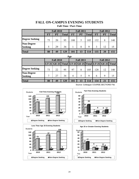# **FALL ON-CAMPUS EVENING STUDENTS**

<span id="page-25-0"></span>

|                              |           | <b>Fall 2010</b> |              |           | <b>Fall 2011</b> |              | <b>Fall 2012</b> |           |              |  |
|------------------------------|-----------|------------------|--------------|-----------|------------------|--------------|------------------|-----------|--------------|--|
|                              | <b>FT</b> | <b>PT</b>        | <b>Total</b> | <b>FT</b> | <b>PT</b>        | <b>Total</b> | <b>FT</b>        | <b>PT</b> | <b>Total</b> |  |
| <b>Degree Seeking</b>        | 75        | 20               | 95           | 100       | 5                | 105          | 132              | 8         | 140          |  |
| Non-Degree<br><b>Seeking</b> |           | 29               | 34           |           | 8                | Q            | 3                | 12        | 15           |  |
| <b>Total</b>                 | 80        | 49               | 129          | 101       | 13               | 114          | 135              | 20        | 155          |  |

| Age                          |    |                  |     |                |                  |     |                  |                                                       |     |  |  |
|------------------------------|----|------------------|-----|----------------|------------------|-----|------------------|-------------------------------------------------------|-----|--|--|
|                              |    | <b>Fall 2010</b> |     |                | <b>Fall 2011</b> |     | <b>Fall 2012</b> |                                                       |     |  |  |
|                              |    |                  |     |                |                  |     |                  | LT 25 GE 25 Total LT 25 GE 25 Total LT 25 GE 25 Total |     |  |  |
| <b>Degree Seeking</b>        | 73 | 22               | 95  | 97             | 8                | 105 | 128              | 12                                                    | 140 |  |  |
| Non-Degree<br><b>Seeking</b> |    | 27               | 34  | $\overline{4}$ | 5                | 9   | 6                | 9                                                     | 15  |  |  |
| <b>Total</b>                 | 80 | 49               | 129 | 101            | 13               | 114 | 134              | 21                                                    | 155 |  |  |

Source: Colleague COURSE.SECTIONS File